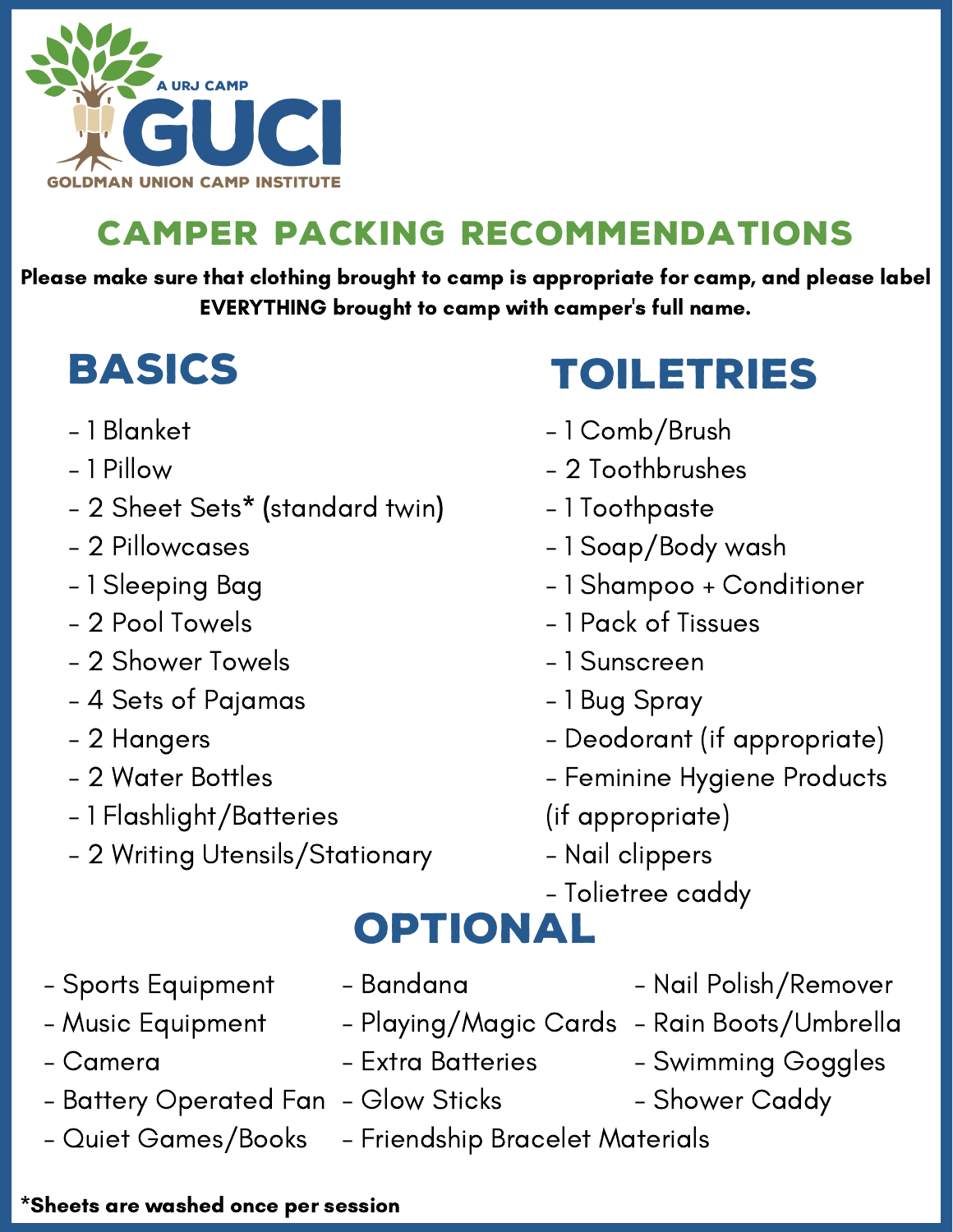

### camper packing recommendations

Please make sure that clothing brought to camp is appropriate for camp, and please label EVERYTHING brought to camp with camper's full name.

# **BASICS**

- 1 Blanket
- 1 Pillow
- 2 Sheet Sets\* (standard twin)
- 2 Pillowcases
- 1 Sleeping Bag
- 2 Pool Towels
- 2 Shower Towels
- 4 Sets of Pajamas
- 2 Hangers
- 2 Water Bottles
- 1 Flashlight/Batteries
- 2 Writing Utensils/Stationary
- **TOILETRIES**
- 1 Comb/Brush
- 2 Toothbrushes
- 1 Toothpaste
- 1 Soap/Body wash
- 1 Shampoo + Conditioner
- 1 Pack of Tissues
- 1 Sunscreen
- 1 Bug Spray
- Deodorant (if appropriate)
- Feminine Hygiene Products
- (if appropriate)
- Nail clippers
- Tolietree caddy

### **OPTIONAL**

- Sports Equipment
- Music Equipment
- Camera
- Battery Operated Fan Glow Sticks
- Quiet Games/Books
- Bandana
	-
- Extra Batteries
- 
- Friendship Bracelet Materials
- Nail Polish/Remover
- Playing/Magic Cards Rain Boots/Umbrella
	- Swimming Goggles
	- Shower Caddy

#### \*Sheets are washed once per session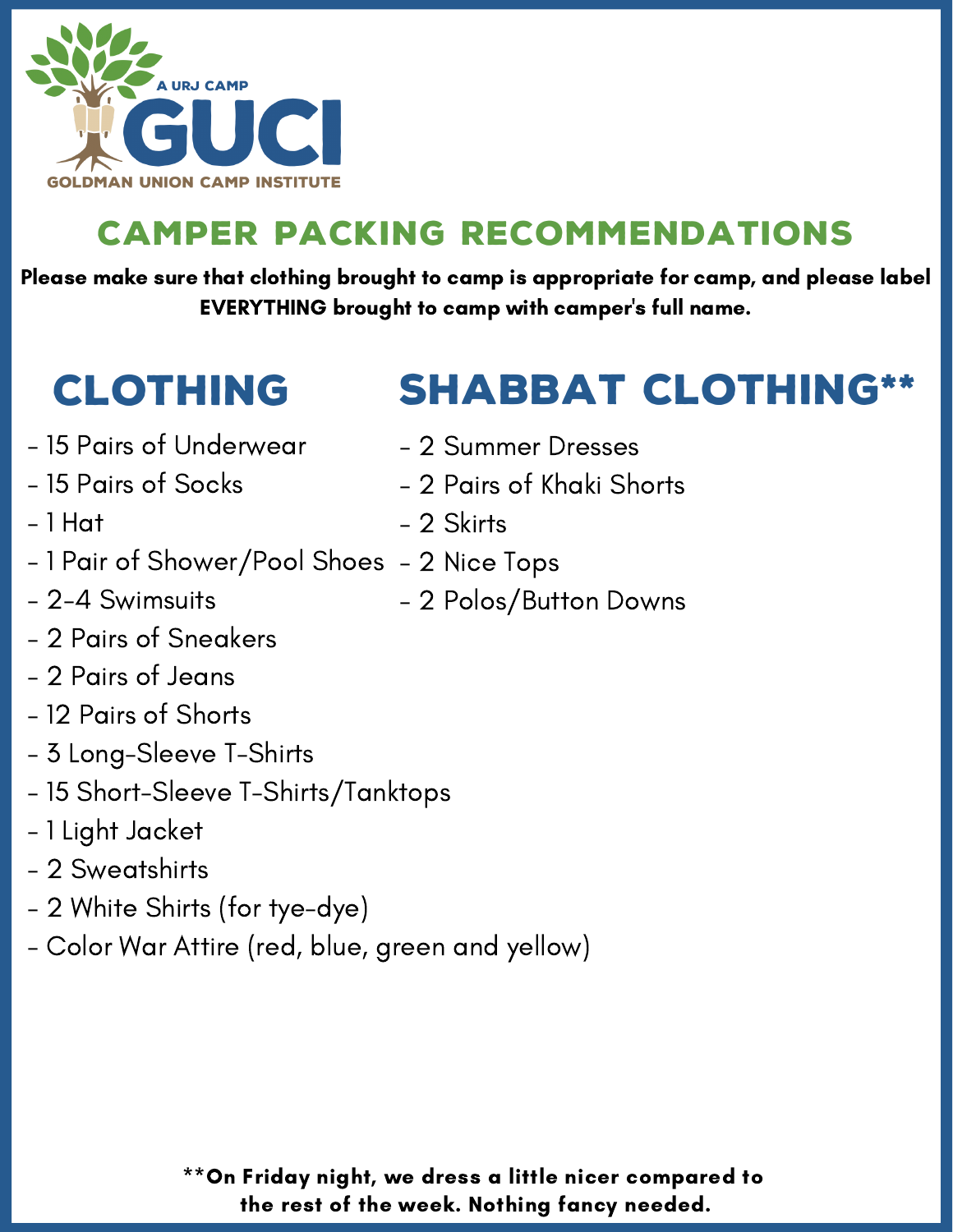

### camper packing recommendations

Please make sure that clothing brought to camp is appropriate for camp, and please label EVERYTHING brought to camp with camper's full name.

## clothing

- SHABBAT CLOTHING
- 15 Pairs of Underwear
- 15 Pairs of Socks
- 1 Hat
- 1 Pair of Shower/Pool Shoes 2 Nice Tops
- 2-4 Swimsuits
- 2 Pairs of Sneakers
- 2 Pairs of Jeans
- 12 Pairs of Shorts
- 3 Long-Sleeve T-Shirts
- 15 Short-Sleeve T-Shirts/Tanktops
- 1 Light Jacket
- 2 Sweatshirts
- 2 White Shirts (for tye-dye)
- Color War Attire (red, blue, green and yellow)
- 2 Summer Dresses
- 2 Pairs of Khaki Shorts
- 2 Skirts
- - 2 Polos/Button Downs

\*\*On Friday night, we dress a little nicer compared to the rest of the week. Nothing fancy needed.